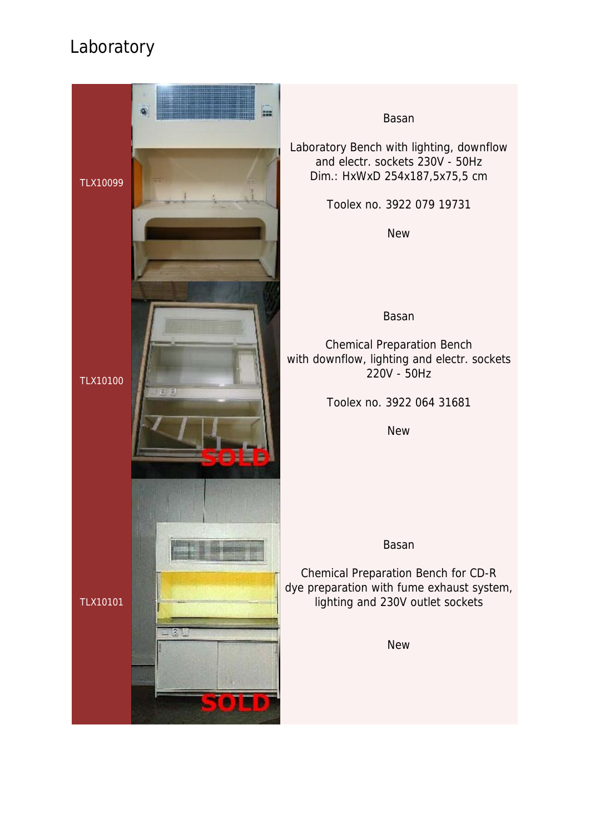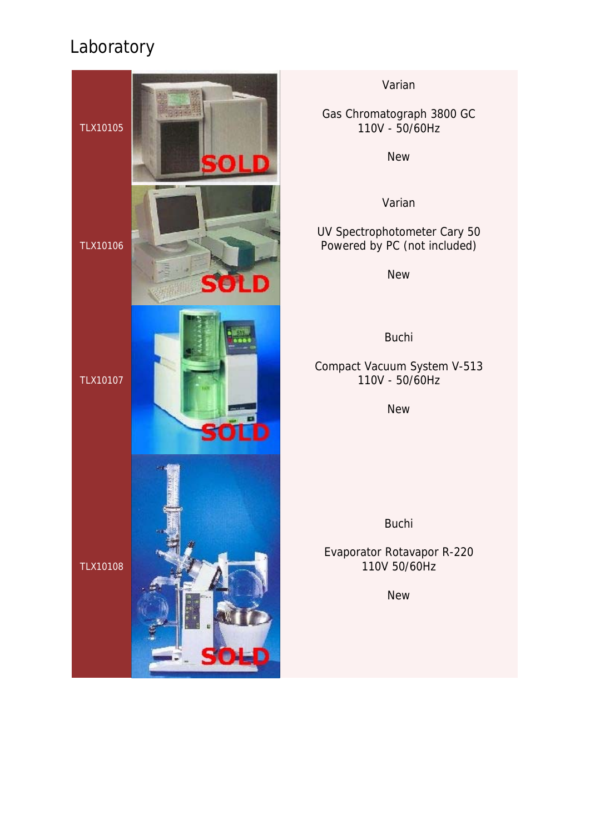

#### Varian

Gas Chromatograph 3800 GC 110V - 50/60Hz

New

Varian

UV Spectrophotometer Cary 50 Powered by PC (not included)

New

Buchi

### Compact Vacuum System V-513 110V - 50/60Hz

New

Buchi

Evaporator Rotavapor R-220 110V 50/60Hz

**New**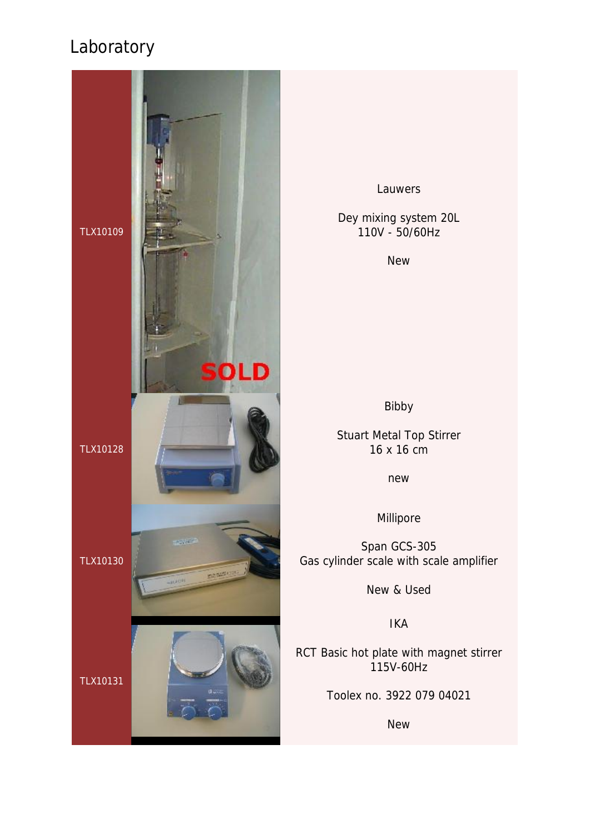

Lauwers

Dey mixing system 20L 110V - 50/60Hz

**New** 

Bibby

Stuart Metal Top Stirrer 16 x 16 cm

new

Millipore

Span GCS-305 Gas cylinder scale with scale amplifier

New & Used

IKA

RCT Basic hot plate with magnet stirrer 115V-60Hz

Toolex no. 3922 079 04021

New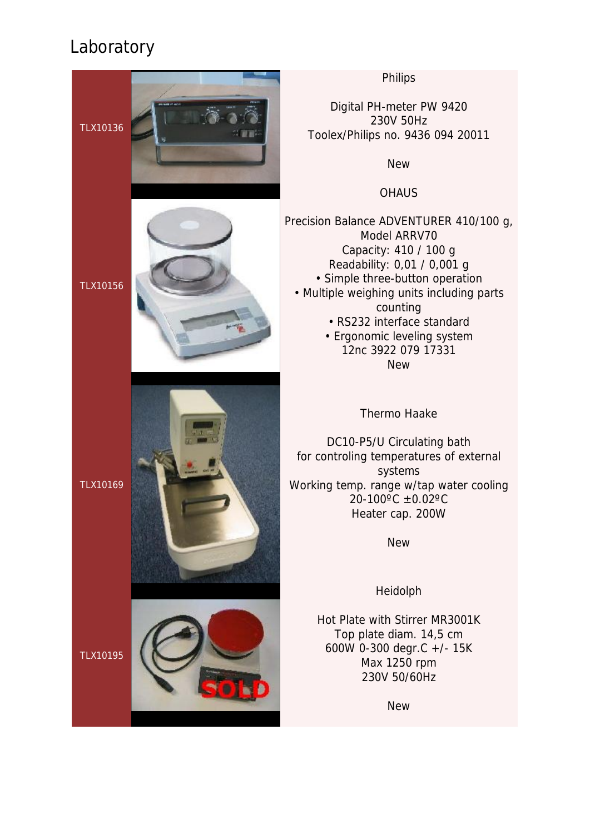TLX10136



TLX10156



TLX10169

TLX10195

Philips

Digital PH-meter PW 9420 230V 50Hz Toolex/Philips no. 9436 094 20011

New

**OHAUS** 

Precision Balance ADVENTURER 410/100 g, Model ARRV70 Capacity: 410 / 100 g Readability: 0,01 / 0,001 g • Simple three-button operation • Multiple weighing units including parts counting • RS232 interface standard • Ergonomic leveling system

12nc 3922 079 17331 New

Thermo Haake

DC10-P5/U Circulating bath for controling temperatures of external systems Working temp. range w/tap water cooling 20-100ºC ±0.02ºC Heater cap. 200W

New

Heidolph

Hot Plate with Stirrer MR3001K Top plate diam. 14,5 cm 600W 0-300 degr.C +/- 15K Max 1250 rpm 230V 50/60Hz

New